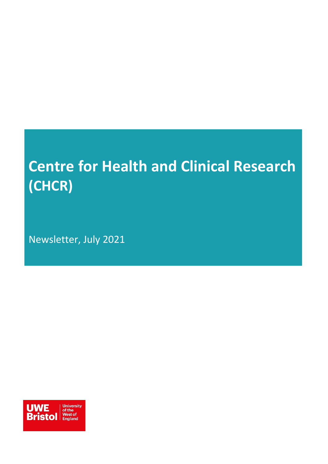# **Centre for Health and Clinical Research (CHCR)**

Newsletter, July 2021

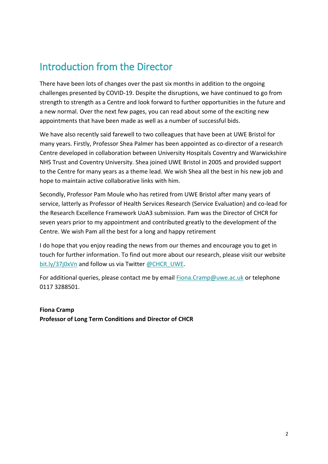### Introduction from the Director

There have been lots of changes over the past six months in addition to the ongoing challenges presented by COVID-19. Despite the disruptions, we have continued to go from strength to strength as a Centre and look forward to further opportunities in the future and a new normal. Over the next few pages, you can read about some of the exciting new appointments that have been made as well as a number of successful bids.

We have also recently said farewell to two colleagues that have been at UWE Bristol for many years. Firstly, Professor Shea Palmer has been appointed as co-director of a research Centre developed in collaboration between University Hospitals Coventry and Warwickshire NHS Trust and Coventry University. Shea joined UWE Bristol in 2005 and provided support to the Centre for many years as a theme lead. We wish Shea all the best in his new job and hope to maintain active collaborative links with him.

Secondly, Professor Pam Moule who has retired from UWE Bristol after many years of service, latterly as Professor of Health Services Research (Service Evaluation) and co-lead for the Research Excellence Framework UoA3 submission. Pam was the Director of CHCR for seven years prior to my appointment and contributed greatly to the development of the Centre. We wish Pam all the best for a long and happy retirement

I do hope that you enjoy reading the news from our themes and encourage you to get in touch for further information. To find out more about our research, please visit our website [bit.ly/37j0xVn](http://bit.ly/37j0xVn) and follow us via Twitte[r @CHCR\\_UWE.](https://twitter.com/CHCR_UWE)

For additional queries, please contact me by email [Fiona.Cramp@uwe.ac.uk](mailto:Fiona.Cramp@uwe.ac.uk) or telephone 0117 3288501.

**Fiona Cramp Professor of Long Term Conditions and Director of CHCR**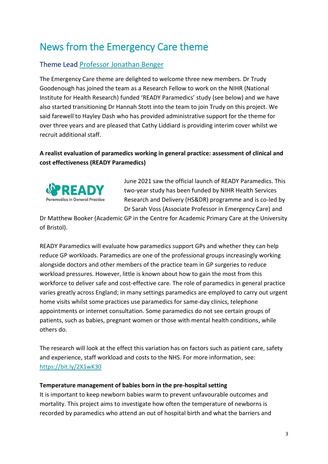### News from the Emergency Care theme

#### Theme Lead Professor [Jonathan Benger](mailto:Jonathan.Benger@uwe.ac.uk)

The Emergency Care theme are delighted to welcome three new members. Dr Trudy Goodenough has joined the team as a Research Fellow to work on the NIHR (National Institute for Health Research) funded 'READY Paramedics' study (see below) and we have also started transitioning Dr Hannah Stott into the team to join Trudy on this project. We said farewell to Hayley Dash who has provided administrative support for the theme for over three years and are pleased that Cathy Liddiard is providing interim cover whilst we recruit additional staff.

#### **A realist evaluation of paramedics working in general practice: assessment of clinical and cost effectiveness (READY Paramedics)**



June 2021 saw the official launch of READY Paramedics. This two-year study has been funded by NIHR Health Services Research and Delivery (HS&DR) programme and is co-led by Dr Sarah Voss (Associate Professor in Emergency Care) and

Dr Matthew Booker (Academic GP in the Centre for Academic Primary Care at the University of Bristol).

READY Paramedics will evaluate how paramedics support GPs and whether they can help reduce GP workloads. Paramedics are one of the professional groups increasingly working alongside doctors and other members of the practice team in GP surgeries to reduce workload pressures. However, little is known about how to gain the most from this workforce to deliver safe and cost-effective care. The role of paramedics in general practice varies greatly across England; in many settings paramedics are employed to carry out urgent home visits whilst some practices use paramedics for same-day clinics, telephone appointments or internet consultation. Some paramedics do not see certain groups of patients, such as babies, pregnant women or those with mental health conditions, while others do.

The research will look at the effect this variation has on factors such as patient care, safety and experience, staff workload and costs to the NHS. For more information, see: <https://bit.ly/2X1wK30>

#### **Temperature management of babies born in the pre-hospital setting**

It is important to keep newborn babies warm to prevent unfavourable outcomes and mortality. This project aims to investigate how often the temperature of newborns is recorded by paramedics who attend an out of hospital birth and what the barriers and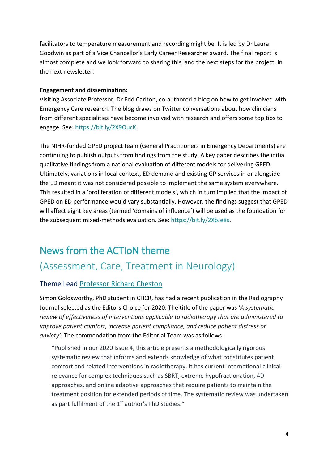facilitators to temperature measurement and recording might be. It is led by Dr Laura Goodwin as part of a Vice Chancellor's Early Career Researcher award. The final report is almost complete and we look forward to sharing this, and the next steps for the project, in the next newsletter.

#### **Engagement and dissemination:**

Visiting Associate Professor, Dr Edd Carlton, co-authored a blog on how to get involved with Emergency Care research. The blog draws on Twitter conversations about how clinicians from different specialities have become involved with research and offers some top tips to engage. See: https://bit.ly/2X9OucK.

The NIHR-funded GPED project team (General Practitioners in Emergency Departments) are continuing to publish outputs from findings from the study. A key paper describes the initial qualitative findings from a national evaluation of different models for delivering GPED. Ultimately, variations in local context, ED demand and existing GP services in or alongside the ED meant it was not considered possible to implement the same system everywhere. This resulted in a 'proliferation of different models', which in turn implied that the impact of GPED on ED performance would vary substantially. However, the findings suggest that GPED will affect eight key areas (termed 'domains of influence') will be used as the foundation for the subsequent mixed-methods evaluation. See: https://bit.ly/2XbJe8s.

### News from the ACTIoN theme

### (Assessment, Care, Treatment in Neurology)

#### Theme Lead [Professor Richard Cheston](mailto:richard.cheston@uwe.ac.uk)

Simon Goldsworthy, PhD student in CHCR, has had a recent publication in the Radiography Journal selected as the Editors Choice for 2020. The title of the paper was '*A systematic review of effectiveness of interventions applicable to radiotherapy that are administered to improve patient comfort, increase patient compliance, and reduce patient distress or anxiety'*. The commendation from the Editorial Team was as follows:

"Published in our 2020 Issue 4, this article presents a methodologically rigorous systematic review that informs and extends knowledge of what constitutes patient comfort and related interventions in radiotherapy. It has current international clinical relevance for complex techniques such as SBRT, extreme hypofractionation, 4D approaches, and online adaptive approaches that require patients to maintain the treatment position for extended periods of time. The systematic review was undertaken as part fulfilment of the 1<sup>st</sup> author's PhD studies."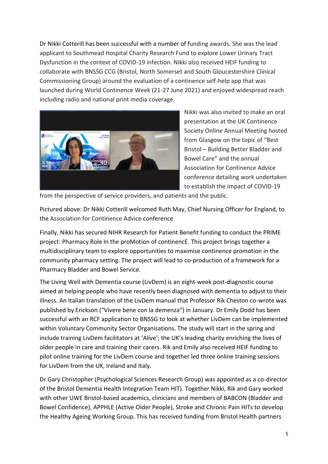Dr Nikki Cotterill has been successful with a number of funding awards. She was the lead applicant to Southmead Hospital Charity Research Fund to explore Lower Urinary Tract Dysfunction in the context of COVID-19 infection. Nikki also received HEIF funding to collaborate with BNSSG CCG (Bristol, North Somerset and South Gloucestershire Clinical Commissioning Group) around the evaluation of a continence self-help app that was launched during World Continence Week (21-27 June 2021) and enjoyed widespread reach including radio and national print media coverage.



Nikki was also invited to make an oral presentation at the UK Continence Society Online Annual Meeting hosted from Glasgow on the topic of "Best Bristol – Building Better Bladder and Bowel Care" and the annual Association for Continence Advice conference detailing work undertaken to establish the impact of COVID-19

from the perspective of service providers, and patients and the public.

Pictured above: Dr Nikki Cotterill welcomed Ruth May, Chief Nursing Officer for England, to the Association for Continence Advice conference

Finally, Nikki has secured NIHR Research for Patient Benefit funding to conduct the PRIME project: Pharmacy Role In the proMotion of continencE. This project brings together a multidisciplinary team to explore opportunities to maximise continence promotion in the community pharmacy setting. The project will lead to co-production of a framework for a Pharmacy Bladder and Bowel Service.

The Living Well with Dementia course (LivDem) is an eight-week post-diagnostic course aimed at helping people who have recently been diagnosed with dementia to adjust to their illness. An Italian translation of the LivDem manual that Professor Rik Cheston co-wrote was published by Erickson ("Vivere bene con la demenza") in January. Dr Emily Dodd has been successful with an RCF application to BNSSG to look at whether LivDem can be implemented within Voluntary Community Sector Organisations. The study will start in the spring and include training LivDem facilitators at 'Alive'; the UK's leading charity enriching the lives of older people in care and training their carers. Rik and Emily also received HEIF funding to pilot online training for the LivDem course and together led three online training sessions for LivDem from the UK, Ireland and Italy.

Dr Gary Christopher (Psychological Sciences Research Group) was appointed as a co-director of the Bristol Dementia Health Integration Team HIT). Together Nikki, Rik and Gary worked with other UWE Bristol-based academics, clinicians and members of BABCON (Bladder and Bowel Confidence), APPHLE (Active Older People), Stroke and Chronic Pain HITs to develop the Healthy Ageing Working Group. This has received funding from Bristol Health partners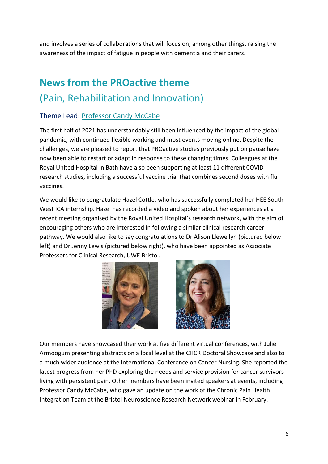and involves a series of collaborations that will focus on, among other things, raising the awareness of the impact of fatigue in people with dementia and their carers.

# **News from the PROactive theme**  (Pain, Rehabilitation and Innovation)

#### Theme Lead: [Professor Candy McCabe](mailto:candy.mccabe@uwe.ac.uk)

The first half of 2021 has understandably still been influenced by the impact of the global pandemic, with continued flexible working and most events moving online. Despite the challenges, we are pleased to report that PROactive studies previously put on pause have now been able to restart or adapt in response to these changing times. Colleagues at the Royal United Hospital in Bath have also been supporting at least 11 different COVID research studies, including a successful vaccine trial that combines second doses with flu vaccines.

We would like to congratulate Hazel Cottle, who has successfully completed her HEE South West ICA internship. Hazel has recorded a video and spoken about her experiences at a recent meeting organised by the Royal United Hospital's research network, with the aim of encouraging others who are interested in following a similar clinical research career pathway. We would also like to say congratulations to Dr Alison Llewellyn (pictured below left) and Dr Jenny Lewis (pictured below right), who have been appointed as Associate Professors for Clinical Research, UWE Bristol.





Our members have showcased their work at five different virtual conferences, with Julie Armoogum presenting abstracts on a local level at the CHCR Doctoral Showcase and also to a much wider audience at the International Conference on Cancer Nursing. She reported the latest progress from her PhD exploring the needs and service provision for cancer survivors living with persistent pain. Other members have been invited speakers at events, including Professor Candy McCabe, who gave an update on the work of the Chronic Pain Health Integration Team at the Bristol Neuroscience Research Network webinar in February.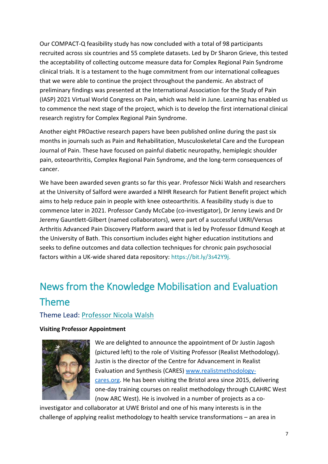Our COMPACT-Q feasibility study has now concluded with a total of 98 participants recruited across six countries and 55 complete datasets. Led by Dr Sharon Grieve, this tested the acceptability of collecting outcome measure data for Complex Regional Pain Syndrome clinical trials. It is a testament to the huge commitment from our international colleagues that we were able to continue the project throughout the pandemic. An abstract of preliminary findings was presented at the International Association for the Study of Pain (IASP) 2021 Virtual World Congress on Pain, which was held in June. Learning has enabled us to commence the next stage of the project, which is to develop the first international clinical research registry for Complex Regional Pain Syndrome.

Another eight PROactive research papers have been published online during the past six months in journals such as Pain and Rehabilitation, Musculoskeletal Care and the European Journal of Pain. These have focused on painful diabetic neuropathy, hemiplegic shoulder pain, osteoarthritis, Complex Regional Pain Syndrome, and the long-term consequences of cancer.

We have been awarded seven grants so far this year. Professor Nicki Walsh and researchers at the University of Salford were awarded a NIHR Research for Patient Benefit project which aims to help reduce pain in people with knee osteoarthritis. A feasibility study is due to commence later in 2021. Professor Candy McCabe (co-investigator), Dr Jenny Lewis and Dr Jeremy Gauntlett-Gilbert (named collaborators), were part of a successful UKRI/Versus Arthritis Advanced Pain Discovery Platform award that is led by Professor Edmund Keogh at the University of Bath. This consortium includes eight higher education institutions and seeks to define outcomes and data collection techniques for chronic pain psychosocial factors within a UK-wide shared data repository: https://bit.ly/3s42Y9j.

# News from the Knowledge Mobilisation and Evaluation Theme

#### Theme Lead: [Professor Nicola Walsh](mailto:nicola.walsh@uwe.ac.uk)

#### **Visiting Professor Appointment**



We are delighted to announce the appointment of Dr Justin Jagosh (pictured left) to the role of Visiting Professor (Realist Methodology). Justin is the director of the Centre for Advancement in Realist Evaluation and Synthesis (CARES) [www.realistmethodology](http://www.realistmethodology-cares.org/)[cares.org.](http://www.realistmethodology-cares.org/) He has been visiting the Bristol area since 2015, delivering one-day training courses on realist methodology through CLAHRC West (now ARC West). He is involved in a number of projects as a co-

investigator and collaborator at UWE Bristol and one of his many interests is in the challenge of applying realist methodology to health service transformations – an area in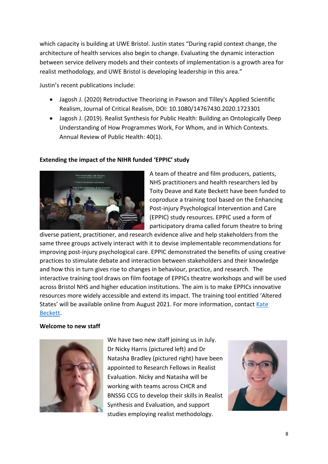which capacity is building at UWE Bristol. Justin states "During rapid context change, the architecture of health services also begin to change. Evaluating the dynamic interaction between service delivery models and their contexts of implementation is a growth area for realist methodology, and UWE Bristol is developing leadership in this area."

Justin's recent publications include:

- Jagosh J. (2020) Retroductive Theorizing in Pawson and Tilley's Applied Scientific Realism, Journal of Critical Realism, DOI: 10.1080/14767430.2020.1723301
- Jagosh J. (2019). Realist Synthesis for Public Health: Building an Ontologically Deep Understanding of How Programmes Work, For Whom, and in Which Contexts. Annual Review of Public Health: 40(1).

#### **Extending the impact of the NIHR funded 'EPPIC' study**



A team of theatre and film producers, patients, NHS practitioners and health researchers led by Toity Deave and Kate Beckett have been funded to coproduce a training tool based on the Enhancing Post-injury Psychological Intervention and Care (EPPIC) study resources. EPPIC used a form of participatory drama called forum theatre to bring

diverse patient, practitioner, and research evidence alive and help stakeholders from the same three groups actively interact with it to devise implementable recommendations for improving post-injury psychological care. EPPIC demonstrated the benefits of using creative practices to stimulate debate and interaction between stakeholders and their knowledge and how this in turn gives rise to changes in behaviour, practice, and research. The interactive training tool draws on film footage of EPPICs theatre workshops and will be used across Bristol NHS and higher education institutions. The aim is to make EPPICs innovative resources more widely accessible and extend its impact. The training tool entitled 'Altered States' will be available online from August 2021. For more information, contact [Kate](mailto:kate2.beckett@uwe.ac.uk)  [Beckett.](mailto:kate2.beckett@uwe.ac.uk)

#### **Welcome to new staff**



We have two new staff joining us in July. Dr Nicky Harris (pictured left) and Dr Natasha Bradley (pictured right) have been appointed to Research Fellows in Realist Evaluation. Nicky and Natasha will be working with teams across CHCR and BNSSG CCG to develop their skills in Realist Synthesis and Evaluation, and support studies employing realist methodology.

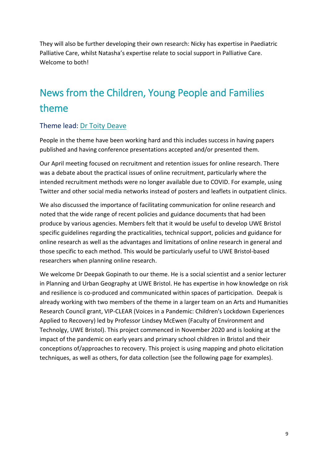They will also be further developing their own research: Nicky has expertise in Paediatric Palliative Care, whilst Natasha's expertise relate to social support in Palliative Care. Welcome to both!

## News from the Children, Young People and Families theme

#### Theme lead: [Dr Toity Deave](mailto:toity.deave@uwe.ac.uk)

People in the theme have been working hard and this includes success in having papers published and having conference presentations accepted and/or presented them.

Our April meeting focused on recruitment and retention issues for online research. There was a debate about the practical issues of online recruitment, particularly where the intended recruitment methods were no longer available due to COVID. For example, using Twitter and other social media networks instead of posters and leaflets in outpatient clinics.

We also discussed the importance of facilitating communication for online research and noted that the wide range of recent policies and guidance documents that had been produce by various agencies. Members felt that it would be useful to develop UWE Bristol specific guidelines regarding the practicalities, technical support, policies and guidance for online research as well as the advantages and limitations of online research in general and those specific to each method. This would be particularly useful to UWE Bristol-based researchers when planning online research.

We welcome Dr Deepak Gopinath to our theme. He is a social scientist and a senior lecturer in Planning and Urban Geography at UWE Bristol. He has expertise in how knowledge on risk and resilience is co-produced and communicated within spaces of participation. Deepak is already working with two members of the theme in a larger team on an Arts and Humanities Research Council grant, VIP-CLEAR (Voices in a Pandemic: Children's Lockdown Experiences Applied to Recovery) led by Professor Lindsey McEwen (Faculty of Environment and Technolgy, UWE Bristol). This project commenced in November 2020 and is looking at the impact of the pandemic on early years and primary school children in Bristol and their conceptions of/approaches to recovery. This project is using mapping and photo elicitation techniques, as well as others, for data collection (see the following page for examples).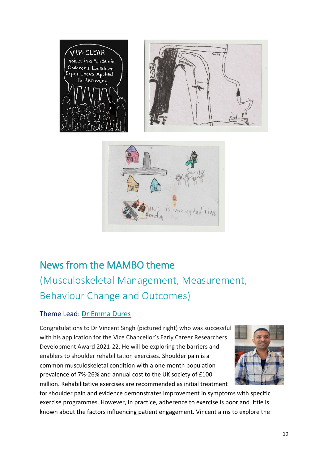

is were ny dad lives.

# News from the MAMBO theme [\(Musculoskeletal Management, Measurement,](https://www1.uwe.ac.uk/hls/research/healthandclinicalresearch/researchthemes/mambo.aspx)  [Behaviour Change and Outcomes\)](https://www1.uwe.ac.uk/hls/research/healthandclinicalresearch/researchthemes/mambo.aspx)

#### Theme Lead: [Dr Emma Dures](mailto:Emma2.Dures@uwe.ac.uk)

Congratulations to Dr Vincent Singh (pictured right) who was successful with his application for the Vice Chancellor's Early Career Researchers Development Award 2021-22. He will be exploring the barriers and enablers to shoulder rehabilitation exercises. Shoulder pain is a common musculoskeletal condition with a one-month population prevalence of 7%-26% and annual cost to the UK society of £100 million. Rehabilitative exercises are recommended as initial treatment



for shoulder pain and evidence demonstrates improvement in symptoms with specific exercise programmes. However, in practice, adherence to exercise is poor and little is known about the factors influencing patient engagement. Vincent aims to explore the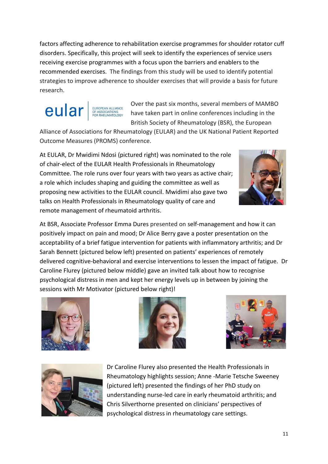factors affecting adherence to rehabilitation exercise programmes for shoulder rotator cuff disorders. Specifically, this project will seek to identify the experiences of service users receiving exercise programmes with a focus upon the barriers and enablers to the recommended exercises. The findings from this study will be used to identify potential strategies to improve adherence to shoulder exercises that will provide a basis for future research.



Over the past six months, several members of MAMBO have taken part in online conferences including in the British Society of Rheumatology (BSR), the European

Alliance of Associations for Rheumatology (EULAR) and the UK National Patient Reported Outcome Measures (PROMS) conference.

At EULAR, Dr Mwidimi Ndosi (pictured right) was nominated to the role of chair-elect of the EULAR Health Professionals in Rheumatology Committee. The role runs over four years with two years as active chair; a role which includes shaping and guiding the committee as well as proposing new activities to the EULAR council. Mwidimi also gave two talks on Health Professionals in Rheumatology quality of care and remote management of rheumatoid arthritis.











Dr Caroline Flurey also presented the Health Professionals in Rheumatology highlights session; Anne -Marie Tetsche Sweeney (pictured left) presented the findings of her PhD study on understanding nurse-led care in early rheumatoid arthritis; and Chris Silverthorne presented on clinicians' perspectives of psychological distress in rheumatology care settings.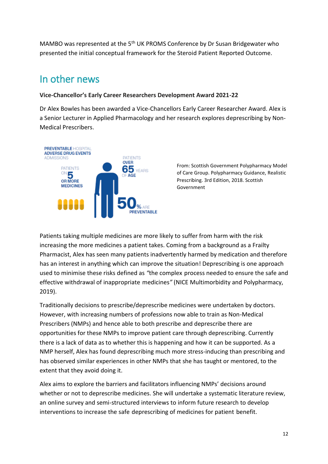MAMBO was represented at the 5<sup>th</sup> UK PROMS Conference by Dr Susan Bridgewater who presented the initial conceptual framework for the Steroid Patient Reported Outcome.

### In other news

#### **Vice-Chancellor's Early Career Researchers Development Award 2021-22**

Dr Alex Bowles has been awarded a Vice-Chancellors Early Career Researcher Award. Alex is a Senior Lecturer in Applied Pharmacology and her research explores deprescribing by Non-Medical Prescribers.



From: Scottish Government Polypharmacy Model of Care Group. Polypharmacy Guidance, Realistic Prescribing. 3rd Edition, 2018. Scottish Government

Patients taking multiple medicines are more likely to suffer from harm with the risk increasing the more medicines a patient takes. Coming from a background as a Frailty Pharmacist, Alex has seen many patients inadvertently harmed by medication and therefore has an interest in anything which can improve the situation! Deprescribing is one approach used to minimise these risks defined as *"*the complex-process needed to ensure the safe and effective withdrawal of inappropriate-medicines*"* (NICE Multimorbidity and Polypharmacy, 2019).

Traditionally decisions to prescribe/deprescribe medicines were undertaken by doctors. However, with increasing numbers of professions now able to train as Non-Medical Prescribers (NMPs) and hence able to both prescribe and deprescribe there are opportunities for these NMPs to improve patient care through deprescribing. Currently there is a lack of data as to whether this is happening and how it can be supported. As a NMP herself, Alex has found deprescribing much more stress-inducing than prescribing and has observed similar experiences in other NMPs that she has taught or mentored, to the extent that they avoid doing it.

Alex aims to explore the barriers and facilitators influencing NMPs' decisions around whether or not to deprescribe medicines. She will undertake a systematic literature review, an online survey and semi-structured interviews to inform future research to develop interventions to increase the safe-deprescribing of medicines for patient-benefit.